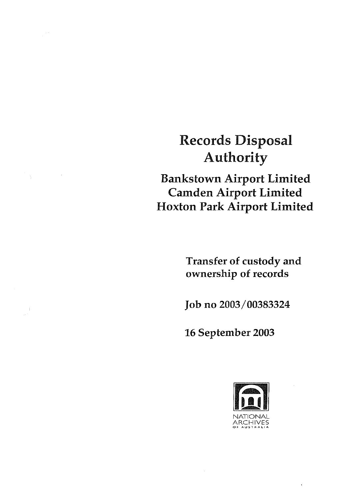Records Disposal Authority

Bankstown Airport Limited Camden Airport Limited Hoxton Park Airport Limited

> Transfer of custody and ownership of records

Job no 2003/00383324

16 September 2003

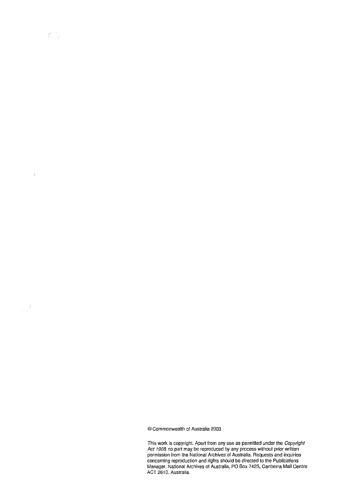© **Commonwealth ofAustralia 2003** 

 $\mathcal{L}^{2,2}$ 

 $\hat{\mathcal{A}}$ Ĵ

 $\frac{1}{2} \int \frac{dx}{2} dx = \int \frac{dx}{2} dx$ 

 $\sim$ 

This work is copyright. Apart from any use as permitted under the Copyright **Act 1968, nopart maybe reproduced by anyprocess without prior written permission from the National Archives of Australia. Requests and inquiries concerning reproduction and rights should be directed to the Publications**  Manager, National Archives of Australia, PO Box 7425, Canberra Mail Centre ACT 2610, Australia.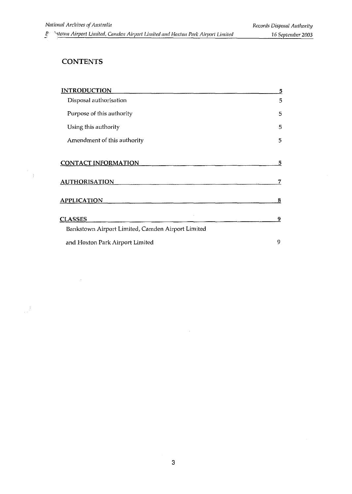# **CONTENTS**

 $\overline{\phantom{a}}$ 

 $\label{eq:2} \begin{pmatrix} \frac{1}{2} & \frac{1}{2} & \frac{1}{2} \\ \frac{1}{2} & \frac{1}{2} & \frac{1}{2} \end{pmatrix}$ 

 $\frac{1}{\sqrt{2}}$ 

| <b>INTRODUCTION</b>                               | <u>5</u> |
|---------------------------------------------------|----------|
| Disposal authorisation                            | 5        |
| Purpose of this authority                         | 5        |
| Using this authority                              | 5        |
| Amendment of this authority                       | 5        |
|                                                   |          |
| <b>CONTACT INFORMATION</b>                        | 5        |
| <b>AUTHORISATION</b>                              | 7        |
| <b>APPLICATION</b>                                | 8        |
| <b>CLASSES</b>                                    | 9        |
| Bankstown Airport Limited, Camden Airport Limited |          |
| and Hoxton Park Airport Limited                   | 9        |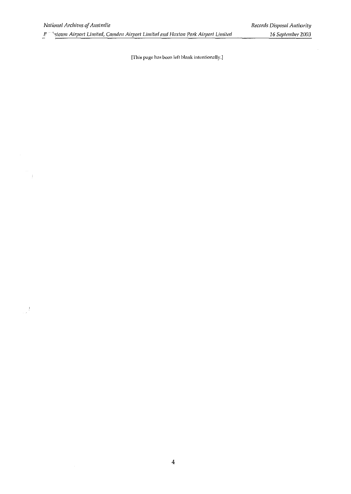$\frac{1}{2}$ 

 $\begin{array}{c} \begin{array}{c} 1 \\ 1 \end{array} \end{array}$ 

 $\bar{z}$ 

[This page has been left blank intentionally.]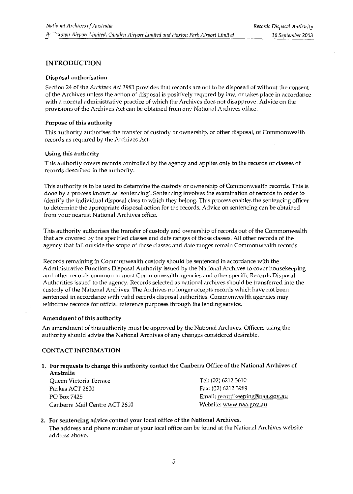## **INTRODUCTION**

#### Disposal authorisation

Section 24 of the *Archives Act* 1983 provides that records are not to be disposed of without the consent of the Archives unless the action of disposal is positively required by law, or takes place in accordance with a normal administrative practice of which the Archives does not disapprove. Advice on the provisions of the Archives Act can be obtained from any National Archives office.

### Purpose of this authority

This authority authorises the transfer of custody or ownership, or other disposal, of Commonwealth records as required by the Archives Act.

### Using this authority

This authority covers records controlled by the agency and applies only to the records or classes of records described in the authority.

This authority is to be used to determine the custody or ownership of Commonwealth records. This is done by a process known as 'sentencing'. Sentencing involves the examination of records in order to identify the individual disposal class to which they belong. This process enables the sentencing officer to determine the appropriate disposal action for the records. Advice on sentencing can be obtained from your nearest National Archives office.

This authority authorises the transfer of custody and ownership of records out of the Commonwealth that are covered by the specified classes and date ranges of those classes. All other records of the agency that fall outside the scope of these classes and date ranges remain Commonwealth records.

Records remaining in Commonwealth custody should be sentenced in accordance with the Administrative Functions Disposal Authority issued by the National Archives to cover housekeeping **and other records common to most Commonwealth agencies and other specific Records Disposal**  Authorities issued to the agency. Records selected as national archives should be transferred into the custody of the National Archives. The Archives no longer accepts records which have not been sentenced in accordance with valid records disposal authorities. Commonwealth agencies may withdraw records for official reference purposes through the lending service.

### Amendment of this authority

An amendment of this authority must be approved by the National Archives. Officers using the authority should advise the National Archives of any changes considered desirable.

### CONTACT INFORMATION

#### 1. For requests to change this authority contact the Canberra Office of the National Archives of Australia

Queen Victoria Terrace Tel: (02) 6212 3610 Parkes ACT 2600 Fax: (02) 6212 3989 Canberra Mail Centre ACT 2610 **Website: www.naa.gov.au** 

PO Box 7425 **Email:** recordkeeping@naa.gov.au

## 2. For sentencing advice contact your local office of the National Archives.

The address and phone number of your local office can be found at the National Archives website address *above.*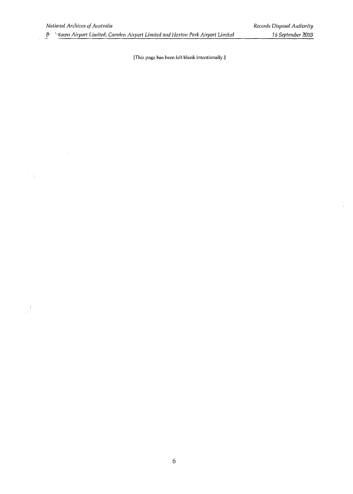$\bar{\beta}$ 

Ĵ

 $\frac{1}{\sigma^2}$ 

l,

[This page has been left blank intentionally.]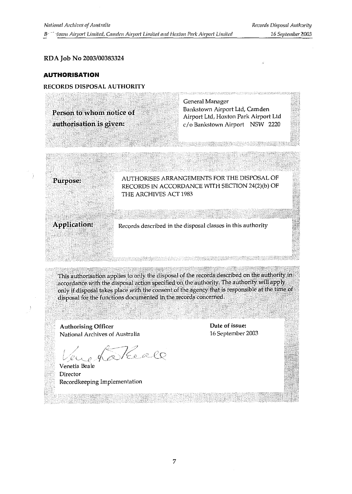### RDA Job No *2003/00383324*

### **AUTHORISATION**

#### RECORDS DISPOSAL AUTHORITY

Person to whom notice of authorisation is given:

General Manager Bankstown Airport Ltd, Camden Airport Ltd, Hoxton Park Airport Ltd c/o Bankstown Airport NSW 2220

Septementary to be center the trenger presenting

Purpose:

AUTHORISES ARRANGEMENTS FOR THE DISPOSAL OF RECORDS IN ACCORDANCE WITH SECTION 24(2)(b) OF THE ARCHIVES ACT 1983

Application:

Records described in the disposal classes in this authority

<u> Francisco de la construcción de la construcción de la construcción de la construcción de la construcción de l</u>

This authorisation applies to only the disposal of the records described on the authority in accordance with the disposal action specified on the authority. The authority will apply only if disposal takes place with the consent of the agency that is responsible at the time of disposal for the functions documented in the records concerned.

Authorising Officer National Archives of Australia **Date of issue:**  16 September 2003

Heale

Venetia BeaIe Director Recordkeeping Implementation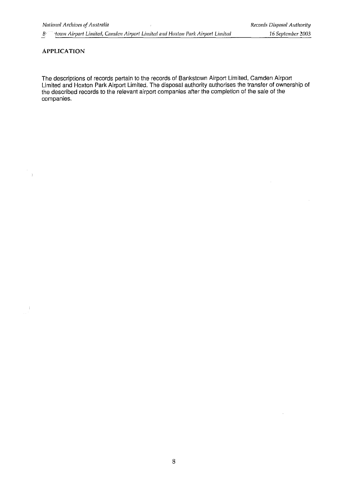$\frac{1}{2}$ 

## **ÁPPLICATION**

iji<br>Suri

The descriptions of records pertain to the records of Bankstown Airport Limited, Camden Airport Limited and Hoxton Park Airport Limited. The disposal authority authorises the transfer of ownership of the described records to the relevant airport companies after the completion of the sale of the companies.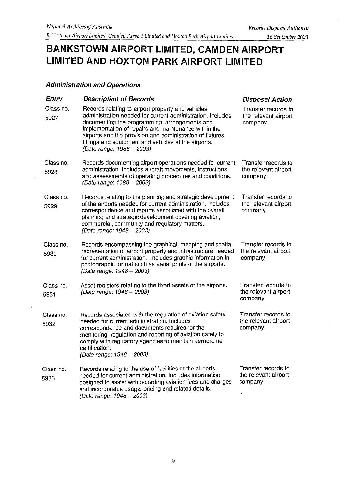## **Administration and Operations**

ŧ

J

| Entry             | <b>Description of Records</b>                                                                                                                                                                                                                                                                                                                                               | <b>Disposal Action</b>                                  |
|-------------------|-----------------------------------------------------------------------------------------------------------------------------------------------------------------------------------------------------------------------------------------------------------------------------------------------------------------------------------------------------------------------------|---------------------------------------------------------|
| Class no.<br>5927 | Records relating to airport property and vehicles<br>administration needed for current administration. Includes<br>documenting the programming, arrangements and<br>implementation of repairs and maintenance within the<br>airports and the provision and administration of fixtures,<br>fittings and equipment and vehicles at the airports.<br>(Date range: 1988 - 2003) | Transfer records to<br>the relevant airport<br>company  |
| Class no.<br>5928 | Records documenting airport operations needed for current<br>administration. Includes aircraft movements, instructions<br>and assessments of operating procedures and conditions.<br>(Date range: 1988 - 2003)                                                                                                                                                              | Transfer records to<br>the relevant airport<br>company  |
| Class no.<br>5929 | Records relating to the planning and strategic development<br>of the airports needed for current administration. Includes<br>correspondence and reports associated with the overall<br>planning and strategic development covering aviation,<br>commercial, community and regulatory matters.<br>(Date range: 1948 - 2003)                                                  | Transfer records to<br>the relevant airport<br>company  |
| Class no.<br>5930 | Records encompassing the graphical, mapping and spatial<br>representation of airport property and infrastructure needed<br>for current administration. Includes graphic information in<br>photographic format such as aerial prints of the airports.<br>(Date range: 1948 - 2003)                                                                                           | Transfer records to<br>the relevant airport<br>company  |
| Class no.<br>5931 | Asset registers relating to the fixed assets of the airports.<br>(Date range: 1948 - 2003)                                                                                                                                                                                                                                                                                  | Transfer records to<br>the relevant airport<br>company  |
| Class no.<br>5932 | Records associated with the regulation of aviation safety<br>needed for current administration. Includes<br>correspondence and documents required for the<br>monitoring, regulation and reporting of aviation safety to<br>comply with regulatory agencies to maintain aerodrome<br>certification.<br>(Date range: 1948 - 2003)                                             | Transfer records to<br>the relevant airport.<br>company |
| Class no.<br>5933 | Records relating to the use of facilities at the airports<br>needed for current administration. Includes information<br>designed to assist with recording aviation fees and charges<br>and incorporates usage, pricing and related details.<br>(Date range: 1948 - 2003)                                                                                                    | Transfer records to<br>the relevant airport<br>company  |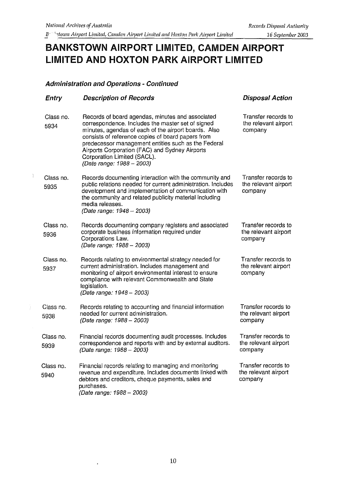## **Administration and Operations - Continued**

 $\frac{1}{2}$ 

ŧ

| <b>Entry</b>      | <b>Description of Records</b>                                                                                                                                                                                                                                                                                                                                                           | <b>Disposal Action</b>                                 |
|-------------------|-----------------------------------------------------------------------------------------------------------------------------------------------------------------------------------------------------------------------------------------------------------------------------------------------------------------------------------------------------------------------------------------|--------------------------------------------------------|
| Class no.<br>5934 | Records of board agendas, minutes and associated<br>correspondence. Includes the master set of signed<br>minutes, agendas of each of the airport boards. Also<br>consists of reference copies of board papers from<br>predecessor management entities such as the Federal<br>Airports Corporation (FAC) and Sydney Airports<br>Corporation Limited (SACL).<br>(Date range: 1988 - 2003) | Transfer records to<br>the relevant airport<br>company |
| Class no.<br>5935 | Records documenting interaction with the community and<br>public relations needed for current administration. Includes<br>development and implementation of communication with<br>the community and related publicity material including<br>media releases.<br>(Date range: 1948 - 2003)                                                                                                | Transfer records to<br>the relevant airport<br>company |
| Class no.<br>5936 | Records documenting company registers and associated<br>corporate business information required under<br>Corporations Law.<br>(Date range: 1988 - 2003)                                                                                                                                                                                                                                 | Transfer records to<br>the relevant airport<br>company |
| Class no.<br>5937 | Records relating to environmental strategy needed for<br>current administration. Includes management and<br>monitoring of airport environmental interest to ensure<br>compliance with relevant Commonwealth and State<br>legislation.<br>(Date range: 1948 - 2003)                                                                                                                      | Transfer records to<br>the relevant airport<br>company |
| Class no.<br>5938 | Records relating to accounting and financial information<br>needed for current administration.<br>(Date range: 1988 - 2003)                                                                                                                                                                                                                                                             | Transfer records to<br>the relevant airport<br>company |
| Class no.<br>5939 | Financial records documenting audit processes. Includes<br>correspondence and reports with and by external auditors.<br>(Date range: 1988 - 2003)                                                                                                                                                                                                                                       | Transfer records to<br>the relevant airport<br>company |
| Class no.<br>5940 | Financial records relating to managing and monitoring<br>revenue and expenditure. Includes documents linked with<br>debtors and creditors, cheque payments, sales and<br>purchases.<br>(Date range: 1988 - 2003)                                                                                                                                                                        | Transfer records to<br>the relevant airport<br>company |

 $\overline{\phantom{a}}$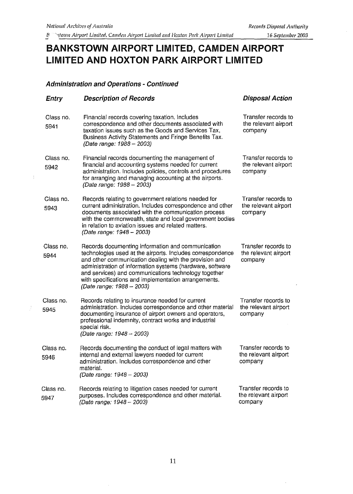## **Administration and Operations - Continued**

 $\mathbf{1}$ 

Ĵ.

| Entry             | <b>Description of Records</b>                                                                                                                                                                                                                                                                                                                                                       | <b>Disposal Action</b>                                 |
|-------------------|-------------------------------------------------------------------------------------------------------------------------------------------------------------------------------------------------------------------------------------------------------------------------------------------------------------------------------------------------------------------------------------|--------------------------------------------------------|
| Class no.<br>5941 | Financial records covering taxation. Includes<br>correspondence and other documents associated with<br>taxation issues such as the Goods and Services Tax,<br>Business Activity Statements and Fringe Benefits Tax.<br>(Date range: 1988 - 2003)                                                                                                                                    | Transfer records to<br>the relevant airport<br>company |
| Class no.<br>5942 | Financial records documenting the management of<br>financial and accounting systems needed for current<br>administration. Includes policies, controls and procedures<br>for arranging and managing accounting at the airports.<br>(Date range: 1988 - 2003)                                                                                                                         | Transfer records to<br>the relevant airport<br>company |
| Class no.<br>5943 | Records relating to government relations needed for<br>current administration. Includes correspondence and other<br>documents associated with the communication process<br>with the commonwealth, state and local government bodies<br>in relation to aviation issues and related matters.<br>(Date range: 1948 - 2003)                                                             | Transfer records to<br>the relevant airport<br>company |
| Class no.<br>5944 | Records documenting information and communication<br>technologies used at the airports. Includes correspondence<br>and other communication dealing with the provision and<br>administration of information systems (hardware, software<br>and services) and communications technology together<br>with specifications and implementation arrangements.<br>(Date range: 1988 - 2003) | Transfer records to<br>the relevant airport<br>company |
| Class no.<br>5945 | Records relating to insurance needed for current<br>administration. Includes correspondence and other material<br>documenting insurance of airport owners and operators,<br>professional indemnity, contract works and industrial<br>special risk.<br>(Date range: 1948 - 2003)                                                                                                     | Transfer records to<br>the relevant airport<br>company |
| Class no.<br>5946 | Records documenting the conduct of legal matters with<br>internal and external lawyers needed for current<br>administration. Includes correspondence and other<br>material.<br>(Date range: 1948 - 2003)                                                                                                                                                                            | Transfer records to<br>the relevant airport<br>company |
| Class no.<br>5947 | Records relating to litigation cases needed for current<br>purposes. Includes correspondence and other material.<br>(Date range: 1948 - 2003)                                                                                                                                                                                                                                       | Transfer records to<br>the relevant airport<br>company |

 $\bar{z}$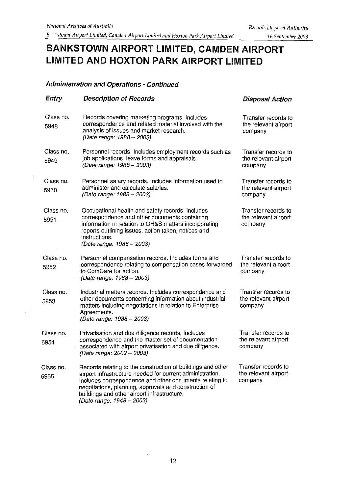## **Administration and Operations - Continued**

 $\frac{1}{4}$ 

| Entry             | <b>Description of Records</b>                                                                                                                                                                                                                                                                                            | <b>Disposal Action</b>                                 |
|-------------------|--------------------------------------------------------------------------------------------------------------------------------------------------------------------------------------------------------------------------------------------------------------------------------------------------------------------------|--------------------------------------------------------|
| Class no.<br>5948 | Records covering marketing programs. Includes<br>correspondence and related material involved with the<br>analysis of issues and market research.<br>(Date range: 1988 - 2003)                                                                                                                                           | Transfer records to<br>the relevant airport<br>company |
| Class no.<br>5949 | Personnel records. Includes employment records such as<br>job applications, leave forms and appraisals.<br>(Date range: 1988 - 2003)                                                                                                                                                                                     | Transfer records to<br>the relevant airport<br>company |
| Class no.<br>5950 | Personnel salary records. Includes information used to<br>administer and calculate salaries.<br>(Date range: 1988 - 2003)                                                                                                                                                                                                | Transfer records to<br>the relevant airport<br>company |
| Class no.<br>5951 | Occupational health and safety records. Includes<br>correspondence and other documents containing<br>information in relation to OH&S matters incorporating<br>reports outlining issues, action taken, notices and<br>instructions.<br>(Date range: 1988 - 2003)                                                          | Transfer records to<br>the relevant airport<br>company |
| Class no.<br>5952 | Personnel compensation records. Includes forms and<br>correspondence relating to compensation cases forwarded<br>to ComCare for action.<br>(Date range: 1988 - 2003)                                                                                                                                                     | Transfer records to<br>the relevant airport<br>company |
| Class no.<br>5953 | Industrial matters records. Includes correspondence and<br>other documents concerning information about industrial<br>matters including negotiations in relation to Enterprise<br>Agreements.<br>(Date range: 1988 - 2003)                                                                                               | Transfer records to<br>the relevant airport<br>company |
| Class no.<br>5954 | Privatisation and due diligence records. Includes<br>correspondence and the master set of documentation<br>associated with airport privatisation and due diligence.<br>(Date range: 2002 - 2003)                                                                                                                         | Transfer records to<br>the relevant airport<br>company |
| Class no.<br>5955 | Records relating to the construction of buildings and other<br>airport infrastructure needed for current administration.<br>Includes correspondence and other documents relating to<br>negotiations, planning, approvals and construction of<br>buildings and other airport infrastructure.<br>(Date range: 1948 - 2003) | Transfer records to<br>the relevant airport<br>company |